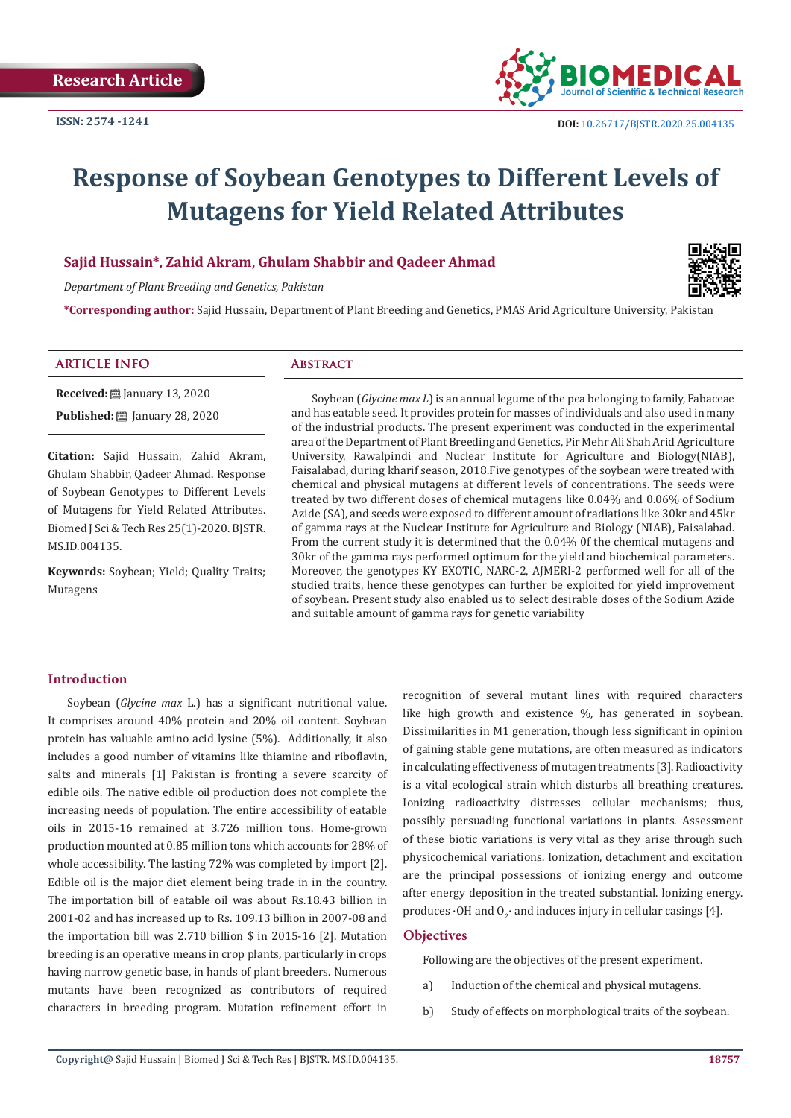

# **Response of Soybean Genotypes to Different Levels of Mutagens for Yield Related Attributes**

# **Sajid Hussain\*, Zahid Akram, Ghulam Shabbir and Qadeer Ahmad**

*Department of Plant Breeding and Genetics, Pakistan*



**\*Corresponding author:** Sajid Hussain, Department of Plant Breeding and Genetics, PMAS Arid Agriculture University, Pakistan

#### **ARTICLE INFO Abstract**

**Received:** January 13, 2020

**Published: 2020** January 28, 2020

**Citation:** Sajid Hussain, Zahid Akram, Ghulam Shabbir, Qadeer Ahmad. Response of Soybean Genotypes to Different Levels of Mutagens for Yield Related Attributes. Biomed J Sci & Tech Res 25(1)-2020. BJSTR. MS.ID.004135.

**Keywords:** Soybean; Yield; Quality Traits; Mutagens

Soybean (*Glycine max L*) is an annual legume of the pea belonging to family, Fabaceae and has eatable seed. It provides protein for masses of individuals and also used in many of the industrial products. The present experiment was conducted in the experimental area of the Department of Plant Breeding and Genetics, Pir Mehr Ali Shah Arid Agriculture University, Rawalpindi and Nuclear Institute for Agriculture and Biology(NIAB), Faisalabad, during kharif season, 2018.Five genotypes of the soybean were treated with chemical and physical mutagens at different levels of concentrations. The seeds were treated by two different doses of chemical mutagens like 0.04% and 0.06% of Sodium Azide (SA), and seeds were exposed to different amount of radiations like 30kr and 45kr of gamma rays at the Nuclear Institute for Agriculture and Biology (NIAB), Faisalabad. From the current study it is determined that the 0.04% 0f the chemical mutagens and 30kr of the gamma rays performed optimum for the yield and biochemical parameters. Moreover, the genotypes KY EXOTIC, NARC-2, AJMERI-2 performed well for all of the studied traits, hence these genotypes can further be exploited for yield improvement of soybean. Present study also enabled us to select desirable doses of the Sodium Azide and suitable amount of gamma rays for genetic variability

# **Introduction**

Soybean (*Glycine max* L.) has a significant nutritional value. It comprises around 40% protein and 20% oil content. Soybean protein has valuable amino acid lysine (5%). Additionally, it also includes a good number of vitamins like thiamine and riboflavin, salts and minerals [1] Pakistan is fronting a severe scarcity of edible oils. The native edible oil production does not complete the increasing needs of population. The entire accessibility of eatable oils in 2015-16 remained at 3.726 million tons. Home-grown production mounted at 0.85 million tons which accounts for 28% of whole accessibility. The lasting 72% was completed by import [2]. Edible oil is the major diet element being trade in in the country. The importation bill of eatable oil was about Rs.18.43 billion in 2001-02 and has increased up to Rs. 109.13 billion in 2007-08 and the importation bill was 2.710 billion \$ in 2015-16 [2]. Mutation breeding is an operative means in crop plants, particularly in crops having narrow genetic base, in hands of plant breeders. Numerous mutants have been recognized as contributors of required characters in breeding program. Mutation refinement effort in

recognition of several mutant lines with required characters like high growth and existence %, has generated in soybean. Dissimilarities in M1 generation, though less significant in opinion of gaining stable gene mutations, are often measured as indicators in calculating effectiveness of mutagen treatments [3]. Radioactivity is a vital ecological strain which disturbs all breathing creatures. Ionizing radioactivity distresses cellular mechanisms; thus, possibly persuading functional variations in plants. Assessment of these biotic variations is very vital as they arise through such physicochemical variations. Ionization, detachment and excitation are the principal possessions of ionizing energy and outcome after energy deposition in the treated substantial. Ionizing energy. produces  $\cdot$ OH and O<sub>2</sub> $\cdot$  and induces injury in cellular casings [4].

#### **Objectives**

Following are the objectives of the present experiment.

- a) Induction of the chemical and physical mutagens.
- b) Study of effects on morphological traits of the soybean.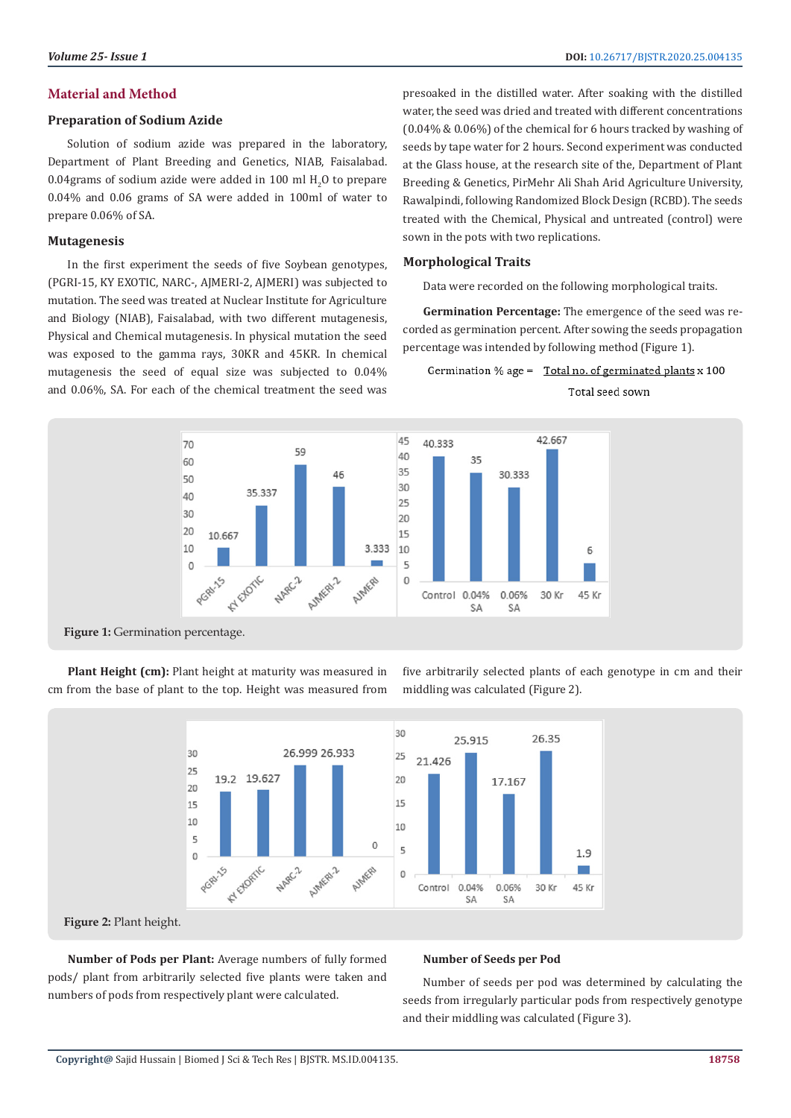# **Material and Method**

#### **Preparation of Sodium Azide**

Solution of sodium azide was prepared in the laboratory, Department of Plant Breeding and Genetics, NIAB, Faisalabad.  $0.04$ grams of sodium azide were added in  $100$  ml  $\text{H}_{2}$ O to prepare 0.04% and 0.06 grams of SA were added in 100ml of water to prepare 0.06% of SA.

#### **Mutagenesis**

In the first experiment the seeds of five Soybean genotypes, (PGRI-15, KY EXOTIC, NARC-, AJMERI-2, AJMERI) was subjected to mutation. The seed was treated at Nuclear Institute for Agriculture and Biology (NIAB), Faisalabad, with two different mutagenesis, Physical and Chemical mutagenesis. In physical mutation the seed was exposed to the gamma rays, 30KR and 45KR. In chemical mutagenesis the seed of equal size was subjected to 0.04% and 0.06%, SA. For each of the chemical treatment the seed was

presoaked in the distilled water. After soaking with the distilled water, the seed was dried and treated with different concentrations (0.04% & 0.06%) of the chemical for 6 hours tracked by washing of seeds by tape water for 2 hours. Second experiment was conducted at the Glass house, at the research site of the, Department of Plant Breeding & Genetics, PirMehr Ali Shah Arid Agriculture University, Rawalpindi, following Randomized Block Design (RCBD). The seeds treated with the Chemical, Physical and untreated (control) were sown in the pots with two replications.

#### **Morphological Traits**

Data were recorded on the following morphological traits.

**Germination Percentage:** The emergence of the seed was recorded as germination percent. After sowing the seeds propagation percentage was intended by following method (Figure 1).

# Germination % age = Total no. of germinated plants x 100

Total seed sown



**Figure 1:** Germination percentage.

Plant Height (cm): Plant height at maturity was measured in cm from the base of plant to the top. Height was measured from five arbitrarily selected plants of each genotype in cm and their middling was calculated (Figure 2).



**Figure 2:** Plant height.

**Number of Pods per Plant:** Average numbers of fully formed pods/ plant from arbitrarily selected five plants were taken and numbers of pods from respectively plant were calculated.

#### **Number of Seeds per Pod**

Number of seeds per pod was determined by calculating the seeds from irregularly particular pods from respectively genotype and their middling was calculated (Figure 3).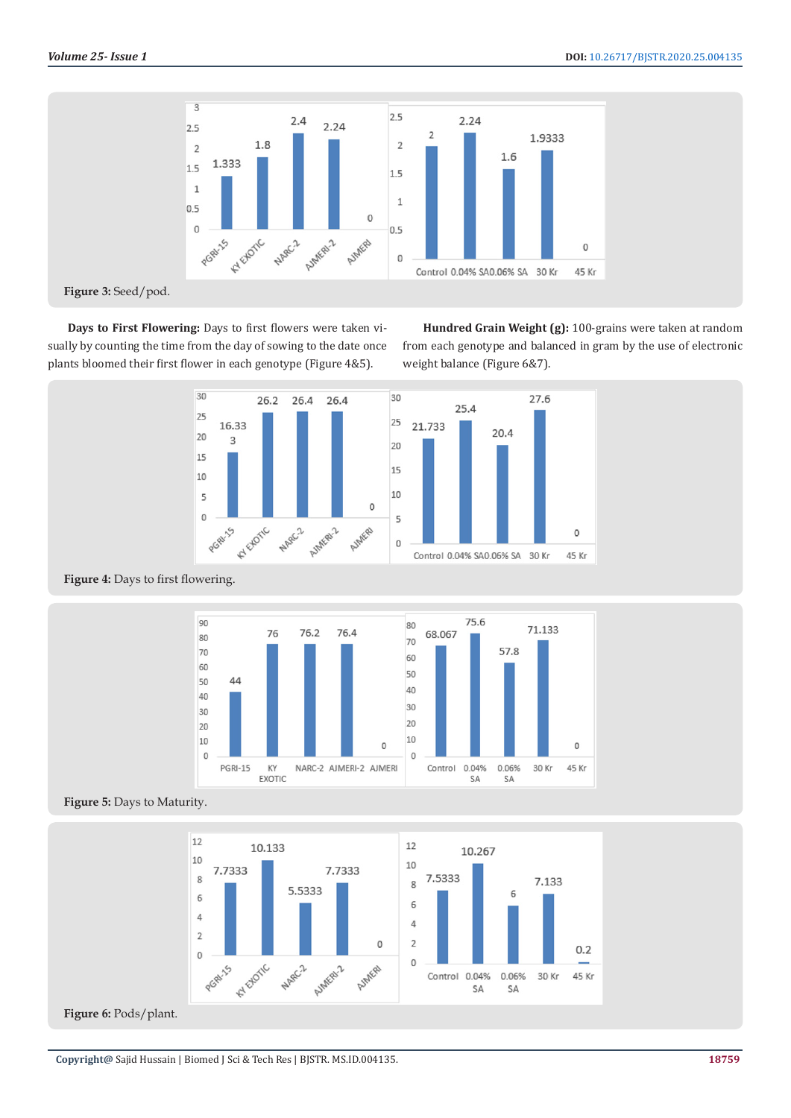

**Days to First Flowering:** Days to first flowers were taken visually by counting the time from the day of sowing to the date once plants bloomed their first flower in each genotype (Figure 4&5).

**Hundred Grain Weight (g):** 100-grains were taken at random from each genotype and balanced in gram by the use of electronic weight balance (Figure 6&7).





Figure 4: Days to first flowering.







Figure 6: Pods/plant.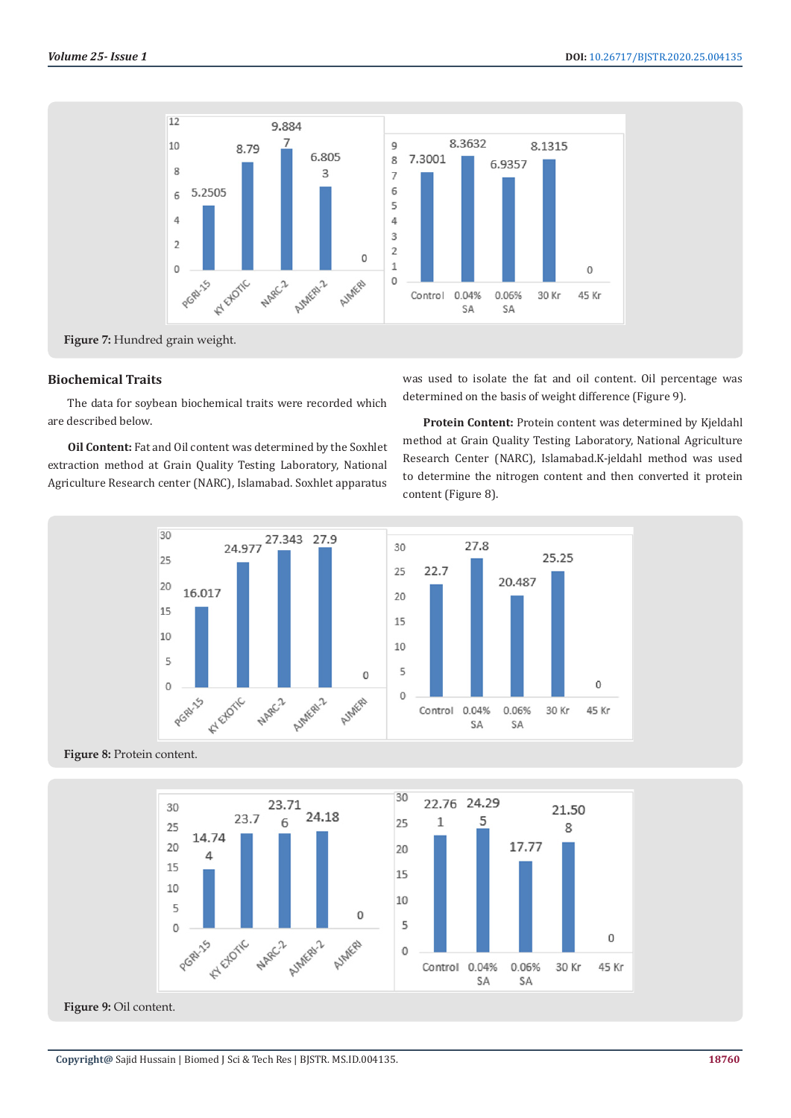

#### **Biochemical Traits**

The data for soybean biochemical traits were recorded which are described below.

**Oil Content:** Fat and Oil content was determined by the Soxhlet extraction method at Grain Quality Testing Laboratory, National Agriculture Research center (NARC), Islamabad. Soxhlet apparatus was used to isolate the fat and oil content. Oil percentage was determined on the basis of weight difference (Figure 9).

**Protein Content:** Protein content was determined by Kjeldahl method at Grain Quality Testing Laboratory, National Agriculture Research Center (NARC), Islamabad.K-jeldahl method was used to determine the nitrogen content and then converted it protein content (Figure 8).



#### **Figure 8:** Protein content.



**Figure 9:** Oil content.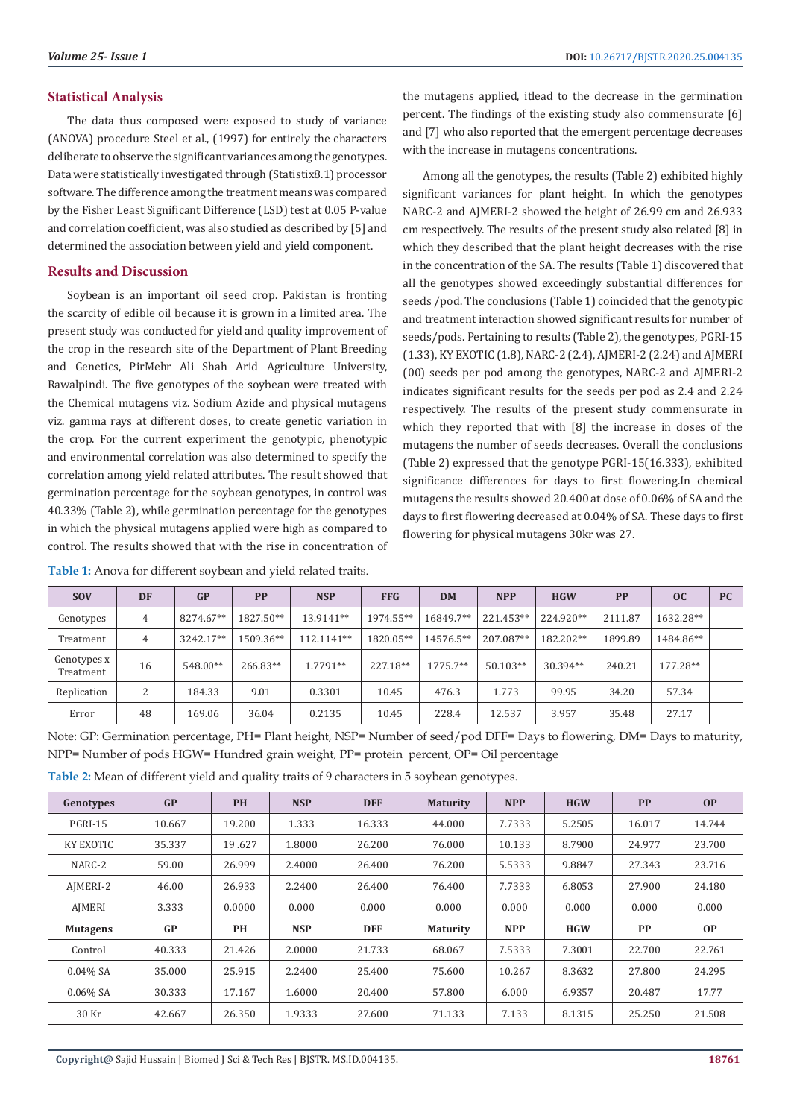#### **Statistical Analysis**

The data thus composed were exposed to study of variance (ANOVA) procedure Steel et al., (1997) for entirely the characters deliberate to observe the significant variances among the genotypes. Data were statistically investigated through (Statistix8.1) processor software. The difference among the treatment means was compared by the Fisher Least Significant Difference (LSD) test at 0.05 P-value and correlation coefficient, was also studied as described by [5] and determined the association between yield and yield component.

#### **Results and Discussion**

Soybean is an important oil seed crop. Pakistan is fronting the scarcity of edible oil because it is grown in a limited area. The present study was conducted for yield and quality improvement of the crop in the research site of the Department of Plant Breeding and Genetics, PirMehr Ali Shah Arid Agriculture University, Rawalpindi. The five genotypes of the soybean were treated with the Chemical mutagens viz. Sodium Azide and physical mutagens viz. gamma rays at different doses, to create genetic variation in the crop. For the current experiment the genotypic, phenotypic and environmental correlation was also determined to specify the correlation among yield related attributes. The result showed that germination percentage for the soybean genotypes, in control was 40.33% (Table 2), while germination percentage for the genotypes in which the physical mutagens applied were high as compared to control. The results showed that with the rise in concentration of

the mutagens applied, itlead to the decrease in the germination percent. The findings of the existing study also commensurate [6] and [7] who also reported that the emergent percentage decreases with the increase in mutagens concentrations.

Among all the genotypes, the results (Table 2) exhibited highly significant variances for plant height. In which the genotypes NARC-2 and AJMERI-2 showed the height of 26.99 cm and 26.933 cm respectively. The results of the present study also related [8] in which they described that the plant height decreases with the rise in the concentration of the SA. The results (Table 1) discovered that all the genotypes showed exceedingly substantial differences for seeds /pod. The conclusions (Table 1) coincided that the genotypic and treatment interaction showed significant results for number of seeds/pods. Pertaining to results (Table 2), the genotypes, PGRI-15 (1.33), KY EXOTIC (1.8), NARC-2 (2.4), AJMERI-2 (2.24) and AJMERI (00) seeds per pod among the genotypes, NARC-2 and AJMERI-2 indicates significant results for the seeds per pod as 2.4 and 2.24 respectively. The results of the present study commensurate in which they reported that with [8] the increase in doses of the mutagens the number of seeds decreases. Overall the conclusions (Table 2) expressed that the genotype PGRI-15(16.333), exhibited significance differences for days to first flowering.In chemical mutagens the results showed 20.400 at dose of 0.06% of SA and the days to first flowering decreased at 0.04% of SA. These days to first flowering for physical mutagens 30kr was 27.

| <b>SOV</b>               | <b>DF</b> | <b>GP</b> | <b>PP</b> | <b>NSP</b> | <b>FFG</b> | <b>DM</b>  | <b>NPP</b> | <b>HGW</b> | <b>PP</b> | oc        | <b>PC</b> |
|--------------------------|-----------|-----------|-----------|------------|------------|------------|------------|------------|-----------|-----------|-----------|
| Genotypes                | 4         | 8274.67** | 1827.50** | 13.9141**  | 1974.55**  | 16849.7**  | 221.453**  | 224.920**  | 2111.87   | 1632.28** |           |
| Treatment                | 4         | 3242.17** | 1509.36** | 112.1141** | 1820.05**  | 14576.5**  | 207.087**  | 182.202**  | 1899.89   | 1484.86** |           |
| Genotypes x<br>Treatment | 16        | 548.00**  | 266.83**  | 1.7791**   | 227.18**   | $1775.7**$ | $50.103**$ | 30.394**   | 240.21    | 177.28**  |           |
| Replication              | 2         | 184.33    | 9.01      | 0.3301     | 10.45      | 476.3      | 1.773      | 99.95      | 34.20     | 57.34     |           |
| Error                    | 48        | 169.06    | 36.04     | 0.2135     | 10.45      | 228.4      | 12.537     | 3.957      | 35.48     | 27.17     |           |

Note: GP: Germination percentage, PH= Plant height, NSP= Number of seed/pod DFF= Days to flowering, DM= Days to maturity, NPP= Number of pods HGW= Hundred grain weight, PP= protein percent, OP= Oil percentage

| Table 2: Mean of different yield and quality traits of 9 characters in 5 soybean genotypes. |  |  |  |
|---------------------------------------------------------------------------------------------|--|--|--|
|---------------------------------------------------------------------------------------------|--|--|--|

| Genotypes       | GP     | <b>PH</b> | <b>NSP</b> | <b>DFF</b> | <b>Maturity</b> | <b>NPP</b> | <b>HGW</b> | <b>PP</b> | OP        |
|-----------------|--------|-----------|------------|------------|-----------------|------------|------------|-----------|-----------|
| PGRI-15         | 10.667 | 19.200    | 1.333      | 16.333     | 44.000          | 7.7333     | 5.2505     | 16.017    | 14.744    |
| KY EXOTIC       | 35.337 | 19.627    | 1.8000     | 26.200     | 76.000          | 10.133     | 8.7900     | 24.977    | 23.700    |
| NARC-2          | 59.00  | 26.999    | 2.4000     | 26.400     | 76.200          | 5.5333     | 9.8847     | 27.343    | 23.716    |
| AJMERI-2        | 46.00  | 26.933    | 2.2400     | 26.400     | 76.400          | 7.7333     | 6.8053     | 27.900    | 24.180    |
| AJMERI          | 3.333  | 0.0000    | 0.000      | 0.000      | 0.000           | 0.000      | 0.000      | 0.000     | 0.000     |
| <b>Mutagens</b> | GP     | <b>PH</b> | <b>NSP</b> | <b>DFF</b> | <b>Maturity</b> | <b>NPP</b> | <b>HGW</b> | <b>PP</b> | <b>OP</b> |
| Control         | 40.333 | 21.426    | 2.0000     | 21.733     | 68.067          | 7.5333     | 7.3001     | 22.700    | 22.761    |
| $0.04\%$ SA     | 35.000 | 25.915    | 2.2400     | 25.400     | 75.600          | 10.267     | 8.3632     | 27.800    | 24.295    |
| $0.06\%$ SA     | 30.333 | 17.167    | 1.6000     | 20.400     | 57.800          | 6.000      | 6.9357     | 20.487    | 17.77     |
| 30 Kr           | 42.667 | 26.350    | 1.9333     | 27.600     | 71.133          | 7.133      | 8.1315     | 25.250    | 21.508    |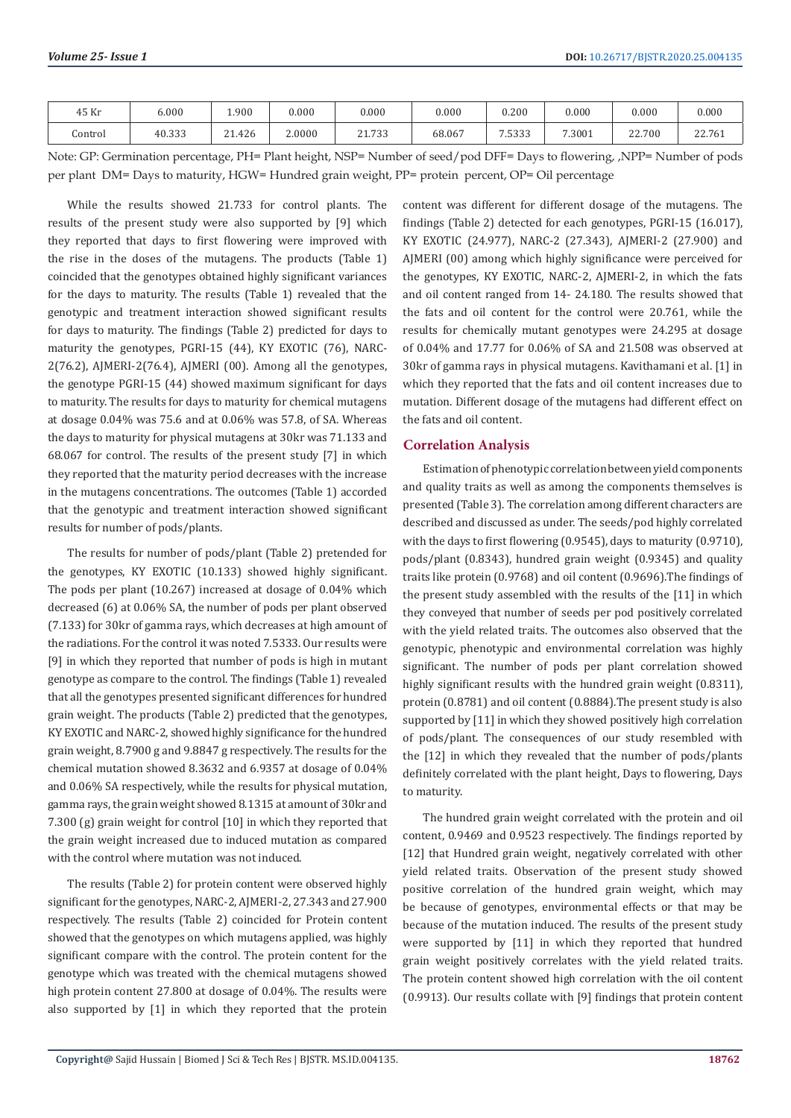| 45 Kr    | 6.000  | 1.900  | 0.000  | 0.000                    | 0.000  | 0.200                | 0.000  | 0.000  | 0.000  |
|----------|--------|--------|--------|--------------------------|--------|----------------------|--------|--------|--------|
| .`ontrol | 40.333 | 21.426 | 2.0000 | 21.722<br><u> 21, JJ</u> | 68.067 | 7.500<br>. . ບ ບ ບ ບ | 7.3001 | 22.700 | 22.761 |

Note: GP: Germination percentage, PH= Plant height, NSP= Number of seed/pod DFF= Days to flowering, ,NPP= Number of pods per plant DM= Days to maturity, HGW= Hundred grain weight, PP= protein percent, OP= Oil percentage

While the results showed 21.733 for control plants. The results of the present study were also supported by [9] which they reported that days to first flowering were improved with the rise in the doses of the mutagens. The products (Table 1) coincided that the genotypes obtained highly significant variances for the days to maturity. The results (Table 1) revealed that the genotypic and treatment interaction showed significant results for days to maturity. The findings (Table 2) predicted for days to maturity the genotypes, PGRI-15 (44), KY EXOTIC (76), NARC-2(76.2), AJMERI-2(76.4), AJMERI (00). Among all the genotypes, the genotype PGRI-15 (44) showed maximum significant for days to maturity. The results for days to maturity for chemical mutagens at dosage 0.04% was 75.6 and at 0.06% was 57.8, of SA. Whereas the days to maturity for physical mutagens at 30kr was 71.133 and 68.067 for control. The results of the present study [7] in which they reported that the maturity period decreases with the increase in the mutagens concentrations. The outcomes (Table 1) accorded that the genotypic and treatment interaction showed significant results for number of pods/plants.

The results for number of pods/plant (Table 2) pretended for the genotypes, KY EXOTIC (10.133) showed highly significant. The pods per plant (10.267) increased at dosage of 0.04% which decreased (6) at 0.06% SA, the number of pods per plant observed (7.133) for 30kr of gamma rays, which decreases at high amount of the radiations. For the control it was noted 7.5333. Our results were [9] in which they reported that number of pods is high in mutant genotype as compare to the control. The findings (Table 1) revealed that all the genotypes presented significant differences for hundred grain weight. The products (Table 2) predicted that the genotypes, KY EXOTIC and NARC-2, showed highly significance for the hundred grain weight, 8.7900 g and 9.8847 g respectively. The results for the chemical mutation showed 8.3632 and 6.9357 at dosage of 0.04% and 0.06% SA respectively, while the results for physical mutation, gamma rays, the grain weight showed 8.1315 at amount of 30kr and 7.300 (g) grain weight for control [10] in which they reported that the grain weight increased due to induced mutation as compared with the control where mutation was not induced.

The results (Table 2) for protein content were observed highly significant for the genotypes, NARC-2, AJMERI-2, 27.343 and 27.900 respectively. The results (Table 2) coincided for Protein content showed that the genotypes on which mutagens applied, was highly significant compare with the control. The protein content for the genotype which was treated with the chemical mutagens showed high protein content 27.800 at dosage of 0.04%. The results were also supported by [1] in which they reported that the protein

content was different for different dosage of the mutagens. The findings (Table 2) detected for each genotypes, PGRI-15 (16.017), KY EXOTIC (24.977), NARC-2 (27.343), AJMERI-2 (27.900) and AJMERI (00) among which highly significance were perceived for the genotypes, KY EXOTIC, NARC-2, AJMERI-2, in which the fats and oil content ranged from 14- 24.180. The results showed that the fats and oil content for the control were 20.761, while the results for chemically mutant genotypes were 24.295 at dosage of 0.04% and 17.77 for 0.06% of SA and 21.508 was observed at 30kr of gamma rays in physical mutagens. Kavithamani et al. [1] in which they reported that the fats and oil content increases due to mutation. Different dosage of the mutagens had different effect on the fats and oil content.

# **Correlation Analysis**

Estimation of phenotypic correlation between yield components and quality traits as well as among the components themselves is presented (Table 3). The correlation among different characters are described and discussed as under. The seeds/pod highly correlated with the days to first flowering (0.9545), days to maturity (0.9710), pods/plant (0.8343), hundred grain weight (0.9345) and quality traits like protein (0.9768) and oil content (0.9696).The findings of the present study assembled with the results of the [11] in which they conveyed that number of seeds per pod positively correlated with the yield related traits. The outcomes also observed that the genotypic, phenotypic and environmental correlation was highly significant. The number of pods per plant correlation showed highly significant results with the hundred grain weight (0.8311), protein (0.8781) and oil content (0.8884).The present study is also supported by [11] in which they showed positively high correlation of pods/plant. The consequences of our study resembled with the [12] in which they revealed that the number of pods/plants definitely correlated with the plant height, Days to flowering, Days to maturity.

The hundred grain weight correlated with the protein and oil content, 0.9469 and 0.9523 respectively. The findings reported by [12] that Hundred grain weight, negatively correlated with other yield related traits. Observation of the present study showed positive correlation of the hundred grain weight, which may be because of genotypes, environmental effects or that may be because of the mutation induced. The results of the present study were supported by [11] in which they reported that hundred grain weight positively correlates with the yield related traits. The protein content showed high correlation with the oil content (0.9913). Our results collate with [9] findings that protein content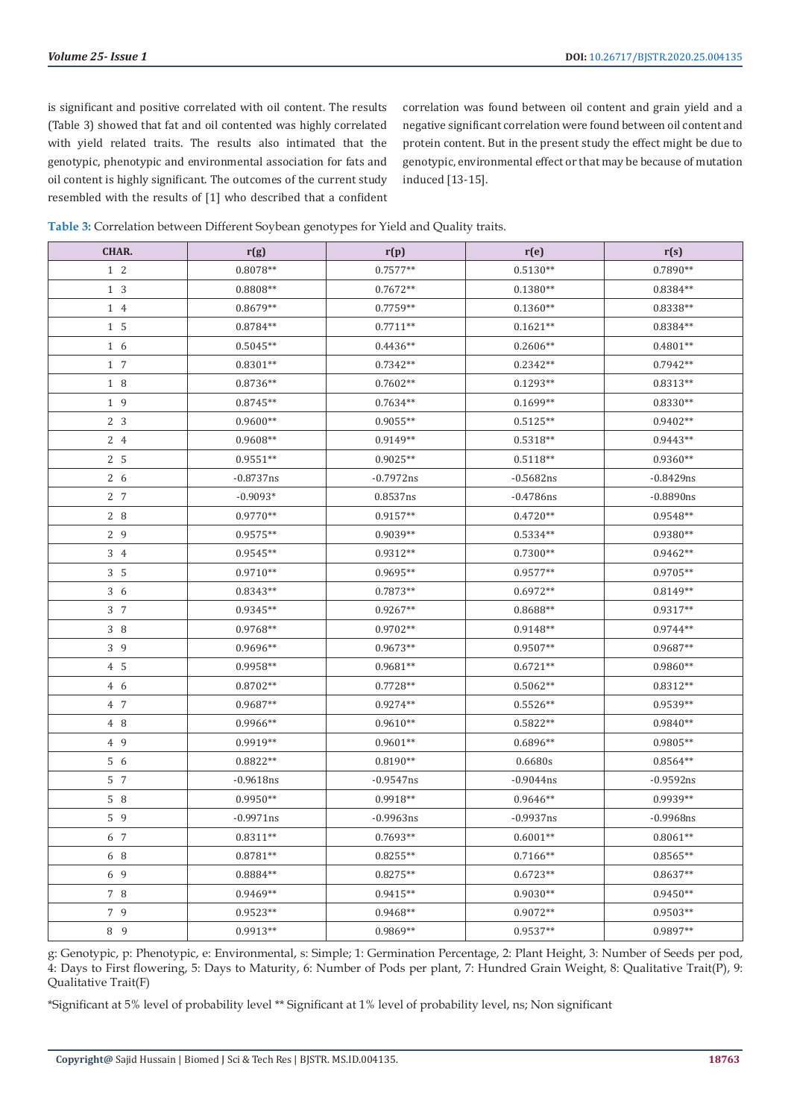is significant and positive correlated with oil content. The results (Table 3) showed that fat and oil contented was highly correlated with yield related traits. The results also intimated that the genotypic, phenotypic and environmental association for fats and oil content is highly significant. The outcomes of the current study resembled with the results of [1] who described that a confident

correlation was found between oil content and grain yield and a negative significant correlation were found between oil content and protein content. But in the present study the effect might be due to genotypic, environmental effect or that may be because of mutation induced [13-15].

| Table 3: Correlation between Different Soybean genotypes for Yield and Quality traits. |  |
|----------------------------------------------------------------------------------------|--|
|----------------------------------------------------------------------------------------|--|

| CHAR.           | r(g)        | r(p)         | r(e)         | r(s)         |
|-----------------|-------------|--------------|--------------|--------------|
| $1\quad2$       | $0.8078**$  | $0.7577**$   | $0.5130**$   | $0.7890**$   |
| 1 3             | $0.8808**$  | $0.7672**$   | $0.1380**$   | 0.8384**     |
| 1 4             | $0.8679**$  | $0.7759**$   | $0.1360**$   | $0.8338**$   |
| $1\overline{5}$ | $0.8784**$  | $0.7711**$   | $0.1621**$   | $0.8384**$   |
| 1 6             | $0.5045**$  | $0.4436**$   | $0.2606**$   | $0.4801**$   |
| 1 7             | $0.8301**$  | $0.7342**$   | $0.2342**$   | $0.7942**$   |
| 1 8             | 0.8736**    | $0.7602**$   | $0.1293**$   | $0.8313**$   |
| 1 9             | $0.8745**$  | $0.7634**$   | $0.1699**$   | $0.8330**$   |
| 2 <sub>3</sub>  | $0.9600**$  | $0.9055**$   | $0.5125**$   | $0.9402**$   |
| 2 4             | 0.9608**    | $0.9149**$   | $0.5318**$   | $0.9443**$   |
| 2 5             | $0.9551**$  | $0.9025**$   | $0.5118**$   | $0.9360**$   |
| 2 6             | $-0.8737ns$ | $-0.7972ns$  | $-0.5682ns$  | $-0.8429$ ns |
| 2 7             | $-0.9093*$  | 0.8537ns     | $-0.4786$ ns | $-0.8890ns$  |
| 2 8             | $0.9770**$  | $0.9157**$   | $0.4720**$   | $0.9548**$   |
| 29              | $0.9575**$  | $0.9039**$   | $0.5334**$   | $0.9380**$   |
| 3 4             | $0.9545**$  | $0.9312**$   | $0.7300**$   | $0.9462**$   |
| 3 <sub>5</sub>  | $0.9710**$  | $0.9695**$   | $0.9577**$   | $0.9705**$   |
| 3 6             | $0.8343**$  | $0.7873**$   | $0.6972**$   | $0.8149**$   |
| 3 7             | $0.9345**$  | $0.9267**$   | 0.8688**     | $0.9317**$   |
| 38              | $0.9768**$  | $0.9702**$   | $0.9148**$   | $0.9744**$   |
| 3 9             | 0.9696**    | $0.9673**$   | $0.9507**$   | $0.9687**$   |
| 4 5             | 0.9958**    | $0.9681**$   | $0.6721**$   | $0.9860**$   |
| 4 6             | $0.8702**$  | $0.7728**$   | $0.5062**$   | $0.8312**$   |
| 4 7             | $0.9687**$  | $0.9274**$   | $0.5526**$   | 0.9539**     |
| 4 8             | 0.9966**    | $0.9610**$   | $0.5822**$   | $0.9840**$   |
| 4 9             | 0.9919**    | $0.9601**$   | $0.6896**$   | 0.9805**     |
| 5 6             | $0.8822**$  | $0.8190**$   | 0.6680s      | $0.8564**$   |
| 5 7             | $-0.9618ns$ | $-0.9547$ ns | $-0.9044$ ns | $-0.9592ns$  |
| $5\quad 8$      | $0.9950**$  | $0.9918**$   | $0.9646**$   | 0.9939**     |
| 5 9             | $-0.9971ns$ | $-0.9963$ ns | $-0.9937$ ns | $-0.9968$ ns |
| 6 7             | $0.8311**$  | $0.7693**$   | $0.6001**$   | $0.8061**$   |
| 6 8             | $0.8781**$  | $0.8255**$   | $0.7166**$   | $0.8565**$   |
| 6 9             | $0.8884**$  | $0.8275**$   | $0.6723**$   | $0.8637**$   |
| 7 8             | $0.9469**$  | $0.9415**$   | $0.9030**$   | $0.9450**$   |
| 7 9             | $0.9523**$  | $0.9468**$   | $0.9072**$   | $0.9503**$   |
| 8 9             | $0.9913**$  | 0.9869**     | $0.9537**$   | 0.9897**     |

g: Genotypic, p: Phenotypic, e: Environmental, s: Simple; 1: Germination Percentage, 2: Plant Height, 3: Number of Seeds per pod, 4: Days to First flowering, 5: Days to Maturity, 6: Number of Pods per plant, 7: Hundred Grain Weight, 8: Qualitative Trait(P), 9: Qualitative Trait(F)

\*Significant at 5% level of probability level \*\* Significant at 1% level of probability level, ns; Non significant